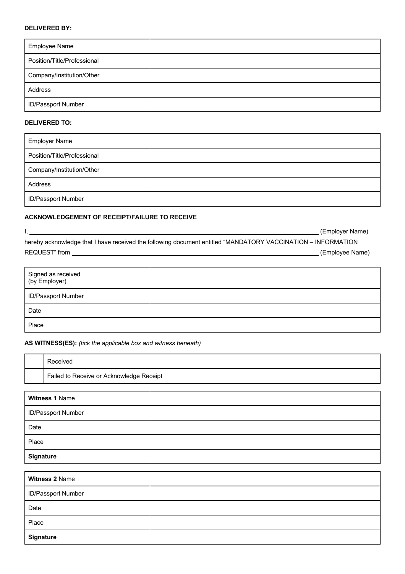## **DELIVERED BY:**

| <b>Employee Name</b>        |  |
|-----------------------------|--|
| Position/Title/Professional |  |
| Company/Institution/Other   |  |
| Address                     |  |
| <b>ID/Passport Number</b>   |  |

#### **DELIVERED TO:**

| <b>Employer Name</b>        |  |
|-----------------------------|--|
| Position/Title/Professional |  |
| Company/Institution/Other   |  |
| Address                     |  |
| <b>ID/Passport Number</b>   |  |

#### **ACKNOWLEDGEMENT OF RECEIPT/FAILURE TO RECEIVE**

I, Sammen and Communication of the Communication of the Communication of the Communication (Employer Name) hereby acknowledge that I have received the following document entitled "MANDATORY VACCINATION – INFORMATION REQUEST" from (Employee Name)

| Signed as received<br>(by Employer) |  |
|-------------------------------------|--|
| <b>ID/Passport Number</b>           |  |
| Date                                |  |
| Place                               |  |

### **AS WITNESS(ES):** *(tick the applicable box and witness beneath)*

| Received                                 |
|------------------------------------------|
| Failed to Receive or Acknowledge Receipt |

| Witness 1 Name     |  |
|--------------------|--|
| ID/Passport Number |  |
| Date               |  |
| Place              |  |
| <b>Signature</b>   |  |
|                    |  |

| Witness 2 Name     |  |
|--------------------|--|
| ID/Passport Number |  |
| Date               |  |
| Place              |  |
| <b>Signature</b>   |  |